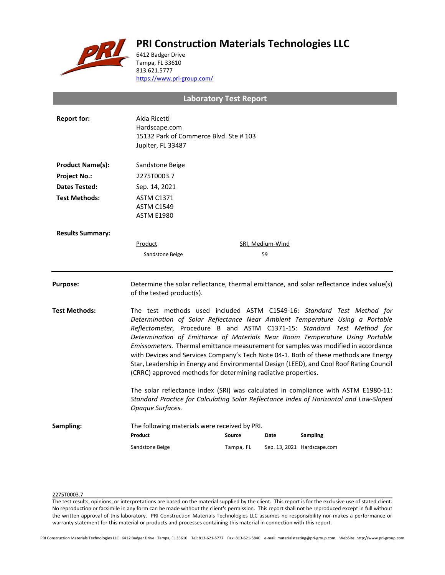# **PRI Construction Materials Technologies LLC**



6412 Badger Drive Tampa, FL 33610 813.621.5777 <https://www.pri-group.com/>

**Laboratory Test Report**

| <b>Report for:</b>      | Aida Ricetti<br>Hardscape.com<br>15132 Park of Commerce Blvd. Ste #103<br>Jupiter, FL 33487                                                                                                                                                                                                                                                                                                                                                                                                                                                                                                                                                                 |           |                  |                                                                                          |  |
|-------------------------|-------------------------------------------------------------------------------------------------------------------------------------------------------------------------------------------------------------------------------------------------------------------------------------------------------------------------------------------------------------------------------------------------------------------------------------------------------------------------------------------------------------------------------------------------------------------------------------------------------------------------------------------------------------|-----------|------------------|------------------------------------------------------------------------------------------|--|
| <b>Product Name(s):</b> | Sandstone Beige                                                                                                                                                                                                                                                                                                                                                                                                                                                                                                                                                                                                                                             |           |                  |                                                                                          |  |
| <b>Project No.:</b>     | 2275T0003.7                                                                                                                                                                                                                                                                                                                                                                                                                                                                                                                                                                                                                                                 |           |                  |                                                                                          |  |
| <b>Dates Tested:</b>    | Sep. 14, 2021                                                                                                                                                                                                                                                                                                                                                                                                                                                                                                                                                                                                                                               |           |                  |                                                                                          |  |
| <b>Test Methods:</b>    | <b>ASTM C1371</b><br><b>ASTM C1549</b><br><b>ASTM E1980</b>                                                                                                                                                                                                                                                                                                                                                                                                                                                                                                                                                                                                 |           |                  |                                                                                          |  |
| <b>Results Summary:</b> |                                                                                                                                                                                                                                                                                                                                                                                                                                                                                                                                                                                                                                                             |           |                  |                                                                                          |  |
|                         | <b>Product</b>                                                                                                                                                                                                                                                                                                                                                                                                                                                                                                                                                                                                                                              |           | SRI, Medium-Wind |                                                                                          |  |
|                         | Sandstone Beige                                                                                                                                                                                                                                                                                                                                                                                                                                                                                                                                                                                                                                             |           | 59               |                                                                                          |  |
| Purpose:                | of the tested product(s).                                                                                                                                                                                                                                                                                                                                                                                                                                                                                                                                                                                                                                   |           |                  | Determine the solar reflectance, thermal emittance, and solar reflectance index value(s) |  |
| <b>Test Methods:</b>    | The test methods used included ASTM C1549-16: Standard Test Method for<br>Determination of Solar Reflectance Near Ambient Temperature Using a Portable<br>Reflectometer, Procedure B and ASTM C1371-15: Standard Test Method for<br>Determination of Emittance of Materials Near Room Temperature Using Portable<br>Emissometers. Thermal emittance measurement for samples was modified in accordance<br>with Devices and Services Company's Tech Note 04-1. Both of these methods are Energy<br>Star, Leadership in Energy and Environmental Design (LEED), and Cool Roof Rating Council<br>(CRRC) approved methods for determining radiative properties. |           |                  |                                                                                          |  |
|                         | The solar reflectance index (SRI) was calculated in compliance with ASTM E1980-11:<br>Standard Practice for Calculating Solar Reflectance Index of Horizontal and Low-Sloped<br>Opaque Surfaces.                                                                                                                                                                                                                                                                                                                                                                                                                                                            |           |                  |                                                                                          |  |
| Sampling:               | The following materials were received by PRI.<br>Product                                                                                                                                                                                                                                                                                                                                                                                                                                                                                                                                                                                                    | Source    | Date             | <b>Sampling</b>                                                                          |  |
|                         | Sandstone Beige                                                                                                                                                                                                                                                                                                                                                                                                                                                                                                                                                                                                                                             | Tampa, FL |                  | Sep. 13, 2021 Hardscape.com                                                              |  |
|                         |                                                                                                                                                                                                                                                                                                                                                                                                                                                                                                                                                                                                                                                             |           |                  |                                                                                          |  |

## 2275T0003.7

The test results, opinions, or interpretations are based on the material supplied by the client. This report is for the exclusive use of stated client. No reproduction or facsimile in any form can be made without the client's permission. This report shall not be reproduced except in full without the written approval of this laboratory. PRI Construction Materials Technologies LLC assumes no responsibility nor makes a performance or warranty statement for this material or products and processes containing this material in connection with this report.

PRI Construction Materials Technologies LLC 6412 Badger Drive Tampa, FL 33610 Tel: 813-621-5777 Fax: 813-621-5840 e-mail: materialstesting@pri-group.com WebSite: http://www.pri-group.com